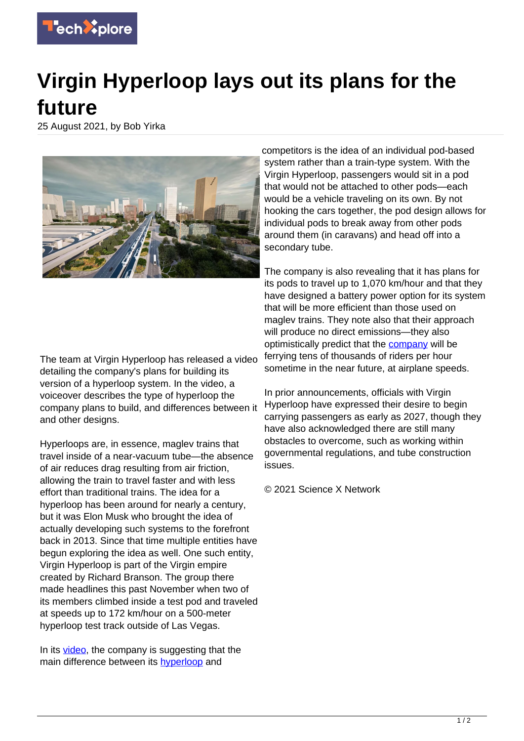

## **Virgin Hyperloop lays out its plans for the future**

25 August 2021, by Bob Yirka



competitors is the idea of an individual pod-based system rather than a train-type system. With the Virgin Hyperloop, passengers would sit in a pod that would not be attached to other pods—each would be a vehicle traveling on its own. By not hooking the cars together, the pod design allows for individual pods to break away from other pods around them (in caravans) and head off into a secondary tube.

The company is also revealing that it has plans for its pods to travel up to 1,070 km/hour and that they have designed a battery power option for its system that will be more efficient than those used on maglev trains. They note also that their approach will produce no direct emissions—they also optimistically predict that the [company](https://techxplore.com/tags/company/) will be ferrying tens of thousands of riders per hour sometime in the near future, at airplane speeds.

In prior announcements, officials with Virgin Hyperloop have expressed their desire to begin carrying passengers as early as 2027, though they have also acknowledged there are still many obstacles to overcome, such as working within governmental regulations, and tube construction issues.

© 2021 Science X Network

The team at Virgin Hyperloop has released a video detailing the company's plans for building its version of a hyperloop system. In the video, a voiceover describes the type of hyperloop the company plans to build, and differences between it and other designs.

Hyperloops are, in essence, maglev trains that travel inside of a near-vacuum tube—the absence of air reduces drag resulting from air friction, allowing the train to travel faster and with less effort than traditional trains. The idea for a hyperloop has been around for nearly a century, but it was Elon Musk who brought the idea of actually developing such systems to the forefront back in 2013. Since that time multiple entities have begun exploring the idea as well. One such entity, Virgin Hyperloop is part of the Virgin empire created by Richard Branson. The group there made headlines this past November when two of its members climbed inside a test pod and traveled at speeds up to 172 km/hour on a 500-meter hyperloop test track outside of Las Vegas.

In its [video,](https://techxplore.com/tags/video/) the company is suggesting that the main difference between its **hyperloop** and